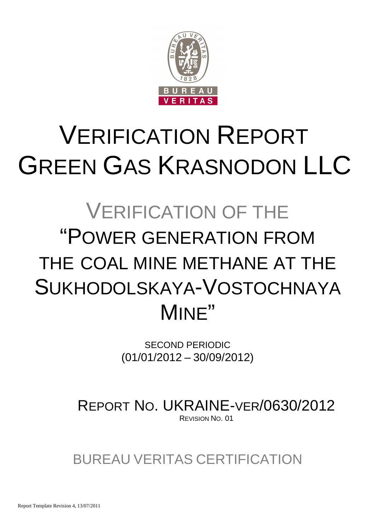

# VERIFICATION REPORT GREEN GAS KRASNODON LLC

# VERIFICATION OF THE "POWER GENERATION FROM THE COAL MINE METHANE AT THE SUKHODOLSKAYA-VOSTOCHNAYA MINE"

SECOND PERIODIC (01/01/2012 – 30/09/2012)

REPORT NO. UKRAINE-VER/0630/2012 REVISION NO. 01

BUREAU VERITAS CERTIFICATION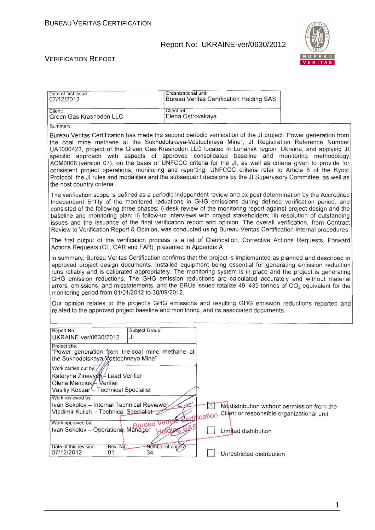

#### VERIFICATION REPORT

| Date of first issue:<br>07/12/2012                                                                                                                                                                                                                                                                                                                                                                                                                                                                                                                                                                                                                                                                                                                                                                                         | Organizational unit: |                           | <b>Bureau Veritas Certification Holding SAS</b> |                                             |
|----------------------------------------------------------------------------------------------------------------------------------------------------------------------------------------------------------------------------------------------------------------------------------------------------------------------------------------------------------------------------------------------------------------------------------------------------------------------------------------------------------------------------------------------------------------------------------------------------------------------------------------------------------------------------------------------------------------------------------------------------------------------------------------------------------------------------|----------------------|---------------------------|-------------------------------------------------|---------------------------------------------|
| Client:                                                                                                                                                                                                                                                                                                                                                                                                                                                                                                                                                                                                                                                                                                                                                                                                                    | Client ref.:         |                           |                                                 |                                             |
| Green Gas Krasnodon LLC                                                                                                                                                                                                                                                                                                                                                                                                                                                                                                                                                                                                                                                                                                                                                                                                    | Elena Ostrovskaya    |                           |                                                 |                                             |
| Summary:                                                                                                                                                                                                                                                                                                                                                                                                                                                                                                                                                                                                                                                                                                                                                                                                                   |                      |                           |                                                 |                                             |
| Bureau Veritas Certification has made the second periodic verification of the JI project "Power generation from<br>the coal mine methane at the Sukhodolskaya-Vostochnaya Mine", JI Registration Reference Number<br>UA1000423, project of the Green Gas Krasnodon LLC located in Luhansk region, Ukraine, and applying JI<br>specific approach with aspects of approved consolidated baseline and monitoring methodology<br>ACM0008 (version 07), on the basis of UNFCCC criteria for the JI, as well as criteria given to provide for<br>consistent project operations, monitoring and reporting. UNFCCC criteria refer to Article 6 of the Kyoto<br>Protocol, the JI rules and modalities and the subsequent decisions by the JI Supervisory Committee, as well as<br>the host country criteria.                        |                      |                           |                                                 |                                             |
| The verification scope is defined as a periodic independent review and ex post determination by the Accredited<br>Independent Entity of the monitored reductions in GHG emissions during defined verification period, and<br>consisted of the following three phases: i) desk review of the monitoring report against project design and the<br>baseline and monitoring plan; ii) follow-up interviews with project stakeholders; iii) resolution of outstanding<br>issues and the issuance of the final verification report and opinion. The overall verification, from Contract<br>Review to Verification Report & Opinion, was conducted using Bureau Veritas Certification internal procedures.                                                                                                                        |                      |                           |                                                 |                                             |
| The first output of the verification process is a list of Clarification, Corrective Actions Requests, Forward<br>Actions Requests (CL, CAR and FAR), presented in Appendix A.                                                                                                                                                                                                                                                                                                                                                                                                                                                                                                                                                                                                                                              |                      |                           |                                                 |                                             |
| In summary, Bureau Veritas Certification confirms that the project is implemented as planned and described in<br>approved project design documents. Installed equipment being essential for generating emission reduction<br>runs reliably and is calibrated appropriately. The monitoring system is in place and the project is generating<br>GHG emission reductions. The GHG emission reductions are calculated accurately and without material<br>errors, omissions, and misstatements, and the ERUs issued totalize 49, 439 tonnes of $CO2$ equivalent for the<br>monitoring period from 01/01/2012 to 30/09/2012.<br>Our opinion relates to the project's GHG emissions and resulting GHG emission reductions reported and<br>related to the approved project baseline and monitoring, and its associated documents. |                      |                           |                                                 |                                             |
|                                                                                                                                                                                                                                                                                                                                                                                                                                                                                                                                                                                                                                                                                                                                                                                                                            |                      |                           |                                                 |                                             |
| Subject Group:<br>Report No.:<br>UKRAINE-ver/0630/2012<br>JI                                                                                                                                                                                                                                                                                                                                                                                                                                                                                                                                                                                                                                                                                                                                                               |                      |                           |                                                 |                                             |
| Project title:<br>"Power generation from the coal mine methane at<br>the Sukhodolskaya / ostochnaya Mine"                                                                                                                                                                                                                                                                                                                                                                                                                                                                                                                                                                                                                                                                                                                  |                      |                           |                                                 |                                             |
| Work carried out by:///<br>Kateryna Zinevych /- Lead Verifier<br>Olena Manziuk / Verifier<br>Vasiliy Kobzar <sup>/</sup> - Technical Specialist                                                                                                                                                                                                                                                                                                                                                                                                                                                                                                                                                                                                                                                                            |                      |                           |                                                 |                                             |
| Work reviewed by:                                                                                                                                                                                                                                                                                                                                                                                                                                                                                                                                                                                                                                                                                                                                                                                                          |                      |                           |                                                 |                                             |
| Ivan Sokolov - Internal Technical Reviewer<br>Vladimir Kulish - Technical Specialist                                                                                                                                                                                                                                                                                                                                                                                                                                                                                                                                                                                                                                                                                                                                       |                      | $\times$<br>Certification | Client or responsible organizational unit       | No distribution without permission from the |
| Ivan Sokolov - Operational Manager Handing                                                                                                                                                                                                                                                                                                                                                                                                                                                                                                                                                                                                                                                                                                                                                                                 | SA.S<br>Holding      |                           | Limited distribution                            |                                             |
| Date of this revision:<br>Rev. No.<br>34<br>07/12/2012<br>01                                                                                                                                                                                                                                                                                                                                                                                                                                                                                                                                                                                                                                                                                                                                                               | Number of pages)     |                           | Unrestricted distribution                       |                                             |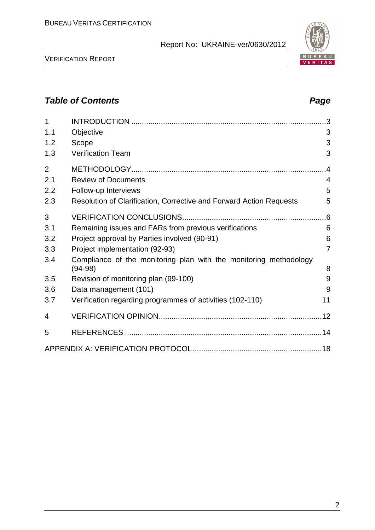VERIFICATION REPORT

| 1              |                                                                                | .3             |
|----------------|--------------------------------------------------------------------------------|----------------|
| 1.1            | Objective                                                                      | 3              |
| 1.2            | Scope                                                                          | 3              |
| 1.3            | <b>Verification Team</b>                                                       | 3              |
| $\overline{2}$ |                                                                                | .4             |
| 2.1            | <b>Review of Documents</b>                                                     | $\overline{4}$ |
| 2.2            | Follow-up Interviews                                                           | 5              |
| 2.3            | Resolution of Clarification, Corrective and Forward Action Requests            | 5              |
| 3              |                                                                                | .6             |
| 3.1            | Remaining issues and FARs from previous verifications                          | 6              |
| 3.2            | Project approval by Parties involved (90-91)                                   | 6              |
| 3.3            | Project implementation (92-93)                                                 | $\overline{7}$ |
| 3.4            | Compliance of the monitoring plan with the monitoring methodology<br>$(94-98)$ | 8              |
| 3.5            | Revision of monitoring plan (99-100)                                           | 9              |
| 3.6            | Data management (101)                                                          | 9              |
| 3.7            | Verification regarding programmes of activities (102-110)                      | 11             |
| 4              |                                                                                |                |
| 5              |                                                                                |                |
|                |                                                                                |                |

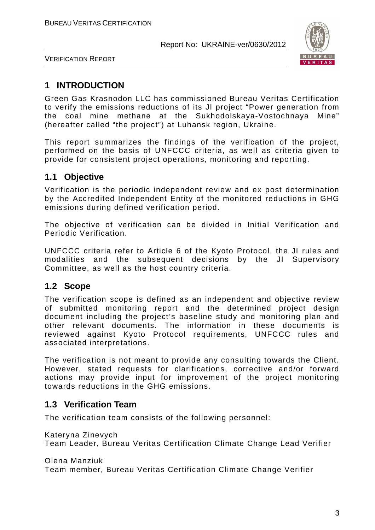

VERIFICATION REPORT

# **1 INTRODUCTION**

Green Gas Krasnodon LLC has commissioned Bureau Veritas Certification to verify the emissions reductions of its JI project "Power generation from the coal mine methane at the Sukhodolskaya-Vostochnaya Mine" (hereafter called "the project") at Luhansk region, Ukraine.

This report summarizes the findings of the verification of the project, performed on the basis of UNFCCC criteria, as well as criteria given to provide for consistent project operations, monitoring and reporting.

# **1.1 Objective**

Verification is the periodic independent review and ex post determination by the Accredited Independent Entity of the monitored reductions in GHG emissions during defined verification period.

The objective of verification can be divided in Initial Verification and Periodic Verification.

UNFCCC criteria refer to Article 6 of the Kyoto Protocol, the JI rules and modalities and the subsequent decisions by the JI Supervisory Committee, as well as the host country criteria.

### **1.2 Scope**

The verification scope is defined as an independent and objective review of submitted monitoring report and the determined project design document including the project's baseline study and monitoring plan and other relevant documents. The information in these documents is reviewed against Kyoto Protocol requirements, UNFCCC rules and associated interpretations.

The verification is not meant to provide any consulting towards the Client. However, stated requests for clarifications, corrective and/or forward actions may provide input for improvement of the project monitoring towards reductions in the GHG emissions.

### **1.3 Verification Team**

The verification team consists of the following personnel:

Kateryna Zinevych

Team Leader, Bureau Veritas Certification Climate Change Lead Verifier

Olena Manziuk

Team member, Bureau Veritas Certification Climate Change Verifier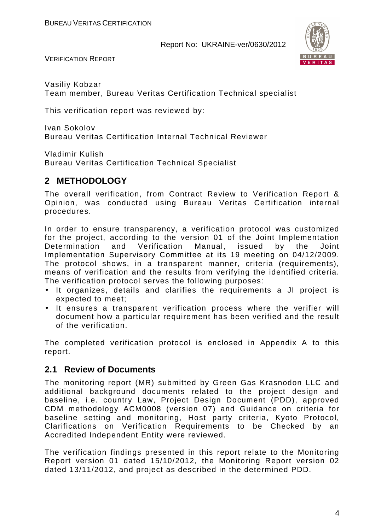

VERIFICATION REPORT

Vasiliy Kobzar Team member, Bureau Veritas Certification Technical specialist

This verification report was reviewed by:

Ivan Sokolov Bureau Veritas Certification Internal Technical Reviewer

Vladimir Kulish Bureau Veritas Certification Technical Specialist

# **2 METHODOLOGY**

The overall verification, from Contract Review to Verification Report & Opinion, was conducted using Bureau Veritas Certification internal procedures.

In order to ensure transparency, a verification protocol was customized for the project, according to the version 01 of the Joint Implementation Determination and Verification Manual, issued by the Joint Implementation Supervisory Committee at its 19 meeting on 04/12/2009. The protocol shows, in a transparent manner, criteria (requirements), means of verification and the results from verifying the identified criteria. The verification protocol serves the following purposes:

- It organizes, details and clarifies the requirements a JI project is expected to meet;
- It ensures a transparent verification process where the verifier will document how a particular requirement has been verified and the result of the verification.

The completed verification protocol is enclosed in Appendix A to this report.

#### **2.1 Review of Documents**

The monitoring report (MR) submitted by Green Gas Krasnodon LLC and additional background documents related to the project design and baseline, i.e. country Law, Project Design Document (PDD), approved CDM methodology ACM0008 (version 07) and Guidance on criteria for baseline setting and monitoring, Host party criteria, Kyoto Protocol, Clarifications on Verification Requirements to be Checked by an Accredited Independent Entity were reviewed.

The verification findings presented in this report relate to the Monitoring Report version 01 dated 15/10/2012, the Monitoring Report version 02 dated 13/11/2012, and project as described in the determined PDD.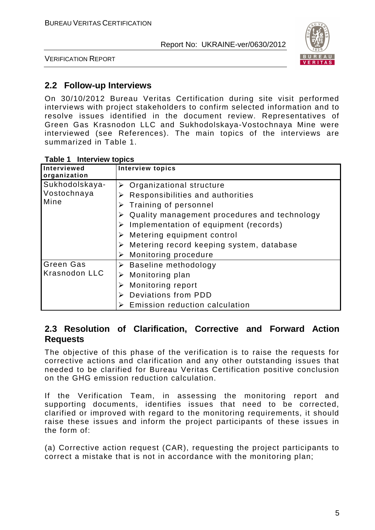

VERIFICATION REPORT

### **2.2 Follow-up Interviews**

On 30/10/2012 Bureau Veritas Certification during site visit performed interviews with project stakeholders to confirm selected information and to resolve issues identified in the document review. Representatives of Green Gas Krasnodon LLC and Sukhodolskaya-Vostochnaya Mine were interviewed (see References). The main topics of the interviews are summarized in Table 1.

| Interviewed<br>organization              | <b>Interview topics</b>                                                                                                                                                                                                                                                                                        |
|------------------------------------------|----------------------------------------------------------------------------------------------------------------------------------------------------------------------------------------------------------------------------------------------------------------------------------------------------------------|
| Sukhodolskaya-<br>Vostochnaya<br>Mine    | Organizational structure<br>Responsibilities and authorities<br>Training of personnel<br>➤<br>Quality management procedures and technology<br>➤<br>Implementation of equipment (records)<br>➤<br>Metering equipment control<br>➤<br>Metering record keeping system, database<br>➤<br>Monitoring procedure<br>➤ |
| <b>Green Gas</b><br><b>Krasnodon LLC</b> | $\triangleright$ Baseline methodology<br>Monitoring plan<br>➤<br>Monitoring report<br>➤<br>Deviations from PDD<br>Emission reduction calculation                                                                                                                                                               |

#### **Table 1 Interview topics**

#### **2.3 Resolution of Clarification, Corrective and Forward Action Requests**

The objective of this phase of the verification is to raise the requests for corrective actions and clarification and any other outstanding issues that needed to be clarified for Bureau Veritas Certification positive conclusion on the GHG emission reduction calculation.

If the Verification Team, in assessing the monitoring report and supporting documents, identifies issues that need to be corrected, clarified or improved with regard to the monitoring requirements, it should raise these issues and inform the project participants of these issues in the form of:

(a) Corrective action request (CAR), requesting the project participants to correct a mistake that is not in accordance with the monitoring plan;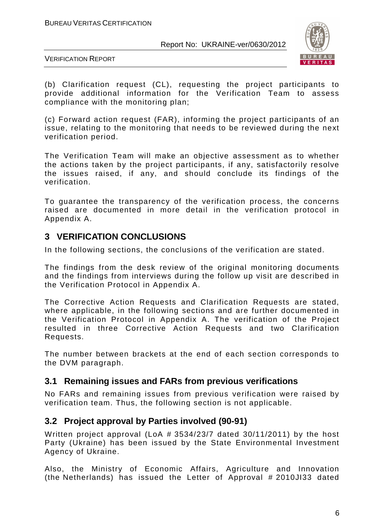

VERIFICATION REPORT

(b) Clarification request (CL), requesting the project participants to provide additional information for the Verification Team to assess compliance with the monitoring plan;

(c) Forward action request (FAR), informing the project participants of an issue, relating to the monitoring that needs to be reviewed during the next verification period.

The Verification Team will make an objective assessment as to whether the actions taken by the project participants, if any, satisfactorily resolve the issues raised, if any, and should conclude its findings of the verification.

To guarantee the transparency of the verification process, the concerns raised are documented in more detail in the verification protocol in Appendix A.

# **3 VERIFICATION CONCLUSIONS**

In the following sections, the conclusions of the verification are stated.

The findings from the desk review of the original monitoring documents and the findings from interviews during the follow up visit are described in the Verification Protocol in Appendix A.

The Corrective Action Requests and Clarification Requests are stated, where applicable, in the following sections and are further documented in the Verification Protocol in Appendix A. The verification of the Project resulted in three Corrective Action Requests and two Clarification Requests.

The number between brackets at the end of each section corresponds to the DVM paragraph.

### **3.1 Remaining issues and FARs from previous verifications**

No FARs and remaining issues from previous verification were raised by verification team. Thus, the following section is not applicable.

### **3.2 Project approval by Parties involved (90-91)**

Written project approval (LoA # 3534/23/7 dated 30/11/2011) by the host Party (Ukraine) has been issued by the State Environmental Investment Agency of Ukraine.

Also, the Ministry of Economic Affairs, Agriculture and Innovation (the Netherlands) has issued the Letter of Approval # 2010JI33 dated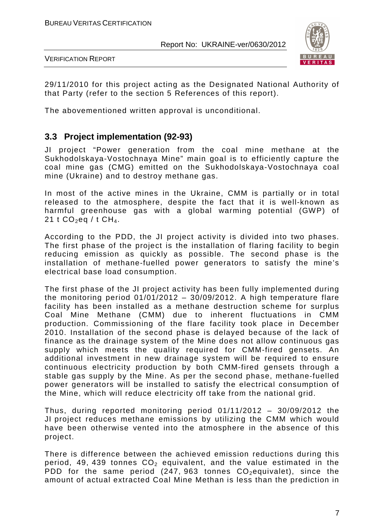

VERIFICATION REPORT

29/11/2010 for this project acting as the Designated National Authority of that Party (refer to the section 5 References of this report).

The abovementioned written approval is unconditional.

### **3.3 Project implementation (92-93)**

JI project "Power generation from the coal mine methane at the Sukhodolskaya-Vostochnaya Mine" main goal is to efficiently capture the coal mine gas (CMG) emitted on the Sukhodolskaya-Vostochnaya coal mine (Ukraine) and to destroy methane gas.

In most of the active mines in the Ukraine, CMM is partially or in total released to the atmosphere, despite the fact that it is well-known as harmful greenhouse gas with a global warming potential (GWP) of 21 t  $CO_2$ eq / t  $CH_4$ .

According to the PDD, the JI project activity is divided into two phases. The first phase of the project is the installation of flaring facility to begin reducing emission as quickly as possible. The second phase is the installation of methane-fuelled power generators to satisfy the mine's electrical base load consumption.

The first phase of the JI project activity has been fully implemented during the monitoring period 01/01/2012 – 30/09/2012. A high temperature flare facility has been installed as a methane destruction scheme for surplus Coal Mine Methane (CMM) due to inherent fluctuations in CMM production. Commissioning of the flare facility took place in December 2010. Installation of the second phase is delayed because of the lack of finance as the drainage system of the Mine does not allow continuous gas supply which meets the quality required for CMM-fired gensets. An additional investment in new drainage system will be required to ensure continuous electricity production by both CMM-fired gensets through a stable gas supply by the Mine. As per the second phase, methane-fuelled power generators will be installed to satisfy the electrical consumption of the Mine, which will reduce electricity off take from the national grid.

Thus, during reported monitoring period 01/11/2012 – 30/09/2012 the JI project reduces methane emissions by utilizing the CMM which would have been otherwise vented into the atmosphere in the absence of this project.

There is difference between the achieved emission reductions during this period, 49, 439 tonnes  $CO<sub>2</sub>$  equivalent, and the value estimated in the PDD for the same period  $(247, 963$  tonnes  $CO<sub>2</sub>$ equivalet), since the amount of actual extracted Coal Mine Methan is less than the prediction in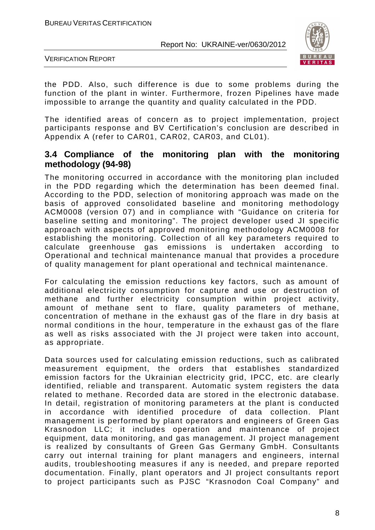

VERIFICATION REPORT

the PDD. Also, such difference is due to some problems during the function of the plant in winter. Furthermore, frozen Pipelines have made impossible to arrange the quantity and quality calculated in the PDD.

The identified areas of concern as to project implementation, project participants response and BV Certification's conclusion are described in Appendix A (refer to CAR01, CAR02, CAR03, and CL01).

#### **3.4 Compliance of the monitoring plan with the monitoring methodology (94-98)**

The monitoring occurred in accordance with the monitoring plan included in the PDD regarding which the determination has been deemed final. According to the PDD, selection of monitoring approach was made on the basis of approved consolidated baseline and monitoring methodology ACM0008 (version 07) and in compliance with "Guidance on criteria for baseline setting and monitoring". The project developer used JI specific approach with aspects of approved monitoring methodology ACM0008 for establishing the monitoring. Collection of all key parameters required to calculate greenhouse gas emissions is undertaken according to Operational and technical maintenance manual that provides a procedure of quality management for plant operational and technical maintenance.

For calculating the emission reductions key factors, such as amount of additional electricity consumption for capture and use or destruction of methane and further electricity consumption within project activity, amount of methane sent to flare, quality parameters of methane, concentration of methane in the exhaust gas of the flare in dry basis at normal conditions in the hour, temperature in the exhaust gas of the flare as well as risks associated with the JI project were taken into account, as appropriate.

Data sources used for calculating emission reductions, such as calibrated measurement equipment, the orders that establishes standardized emission factors for the Ukrainian electricity grid, IPCC, etc. are clearly identified, reliable and transparent. Automatic system registers the data related to methane. Recorded data are stored in the electronic database. In detail, registration of monitoring parameters at the plant is conducted in accordance with identified procedure of data collection. Plant management is performed by plant operators and engineers of Green Gas Krasnodon LLC; it includes operation and maintenance of project equipment, data monitoring, and gas management. JI project management is realized by consultants of Green Gas Germany GmbH. Consultants carry out internal training for plant managers and engineers, internal audits, troubleshooting measures if any is needed, and prepare reported documentation. Finally, plant operators and JI project consultants report to project participants such as PJSC "Krasnodon Coal Company" and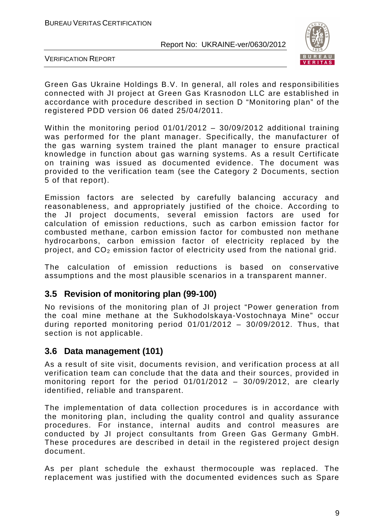

VERIFICATION REPORT

Green Gas Ukraine Holdings B.V. In general, all roles and responsibilities connected with JI project at Green Gas Krasnodon LLC are established in accordance with procedure described in section D "Monitoring plan" of the registered PDD version 06 dated 25/04/2011.

Within the monitoring period 01/01/2012 – 30/09/2012 additional training was performed for the plant manager. Specifically, the manufacturer of the gas warning system trained the plant manager to ensure practical knowledge in function about gas warning systems. As a result Certificate on training was issued as documented evidence. The document was provided to the verification team (see the Category 2 Documents, section 5 of that report).

Emission factors are selected by carefully balancing accuracy and reasonableness, and appropriately justified of the choice. According to the JI project documents, several emission factors are used for calculation of emission reductions, such as carbon emission factor for combusted methane, carbon emission factor for combusted non methane hydrocarbons, carbon emission factor of electricity replaced by the project, and  $CO<sub>2</sub>$  emission factor of electricity used from the national grid.

The calculation of emission reductions is based on conservative assumptions and the most plausible scenarios in a transparent manner.

### **3.5 Revision of monitoring plan (99-100)**

No revisions of the monitoring plan of JI project "Power generation from the coal mine methane at the Sukhodolskaya-Vostochnaya Mine" occur during reported monitoring period 01/01/2012 – 30/09/2012. Thus, that section is not applicable.

### **3.6 Data management (101)**

As a result of site visit, documents revision, and verification process at all verification team can conclude that the data and their sources, provided in monitoring report for the period 01/01/2012 – 30/09/2012, are clearly identified, reliable and transparent.

The implementation of data collection procedures is in accordance with the monitoring plan, including the quality control and quality assurance procedures. For instance, internal audits and control measures are conducted by JI project consultants from Green Gas Germany GmbH. These procedures are described in detail in the registered project design document.

As per plant schedule the exhaust thermocouple was replaced. The replacement was justified with the documented evidences such as Spare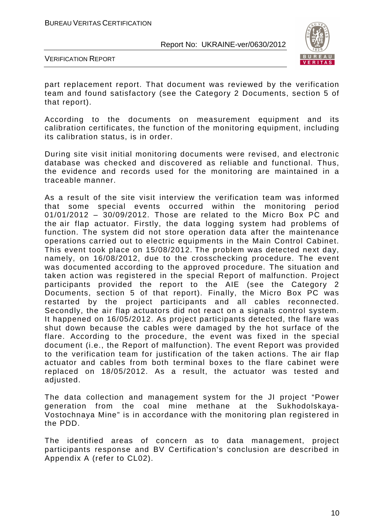

VERIFICATION REPORT

part replacement report. That document was reviewed by the verification team and found satisfactory (see the Category 2 Documents, section 5 of that report).

According to the documents on measurement equipment and its calibration certificates, the function of the monitoring equipment, including its calibration status, is in order.

During site visit initial monitoring documents were revised, and electronic database was checked and discovered as reliable and functional. Thus, the evidence and records used for the monitoring are maintained in a traceable manner.

As a result of the site visit interview the verification team was informed that some special events occurred within the monitoring period 01/01/2012 – 30/09/2012. Those are related to the Micro Box PC and the air flap actuator. Firstly, the data logging system had problems of function. The system did not store operation data after the maintenance operations carried out to electric equipments in the Main Control Cabinet. This event took place on 15/08/2012. The problem was detected next day, namely, on 16/08/2012, due to the crosschecking procedure. The event was documented according to the approved procedure. The situation and taken action was registered in the special Report of malfunction. Project participants provided the report to the AIE (see the Category 2 Documents, section 5 of that report). Finally, the Micro Box PC was restarted by the project participants and all cables reconnected. Secondly, the air flap actuators did not react on a signals control system. It happened on 16/05/2012. As project participants detected, the flare was shut down because the cables were damaged by the hot surface of the flare. According to the procedure, the event was fixed in the special document (i.e., the Report of malfunction). The event Report was provided to the verification team for justification of the taken actions. The air flap actuator and cables from both terminal boxes to the flare cabinet were replaced on 18/05/2012. As a result, the actuator was tested and adjusted.

The data collection and management system for the JI project "Power generation from the coal mine methane at the Sukhodolskaya-Vostochnaya Mine" is in accordance with the monitoring plan registered in the PDD.

The identified areas of concern as to data management, project participants response and BV Certification's conclusion are described in Appendix A (refer to CL02).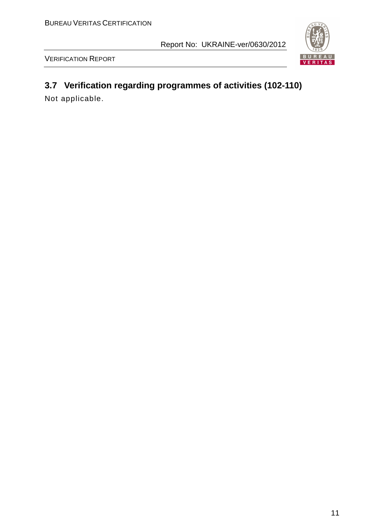



# **3.7 Verification regarding programmes of activities (102-110)**

Not applicable.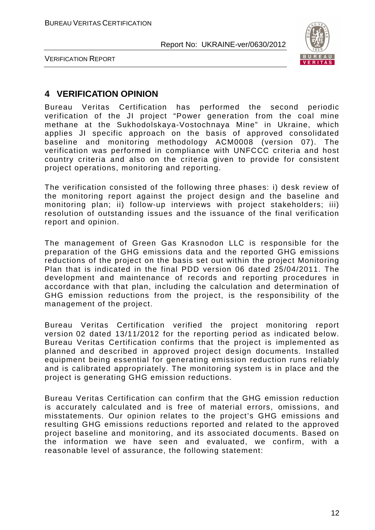

VERIFICATION REPORT

# **4 VERIFICATION OPINION**

Bureau Veritas Certification has performed the second periodic verification of the JI project "Power generation from the coal mine methane at the Sukhodolskaya-Vostochnaya Mine" in Ukraine, which applies JI specific approach on the basis of approved consolidated baseline and monitoring methodology ACM0008 (version 07). The verification was performed in compliance with UNFCCC criteria and host country criteria and also on the criteria given to provide for consistent project operations, monitoring and reporting.

The verification consisted of the following three phases: i) desk review of the monitoring report against the project design and the baseline and monitoring plan; ii) follow-up interviews with project stakeholders; iii) resolution of outstanding issues and the issuance of the final verification report and opinion.

The management of Green Gas Krasnodon LLC is responsible for the preparation of the GHG emissions data and the reported GHG emissions reductions of the project on the basis set out within the project Monitoring Plan that is indicated in the final PDD version 06 dated 25/04/2011. The development and maintenance of records and reporting procedures in accordance with that plan, including the calculation and determination of GHG emission reductions from the project, is the responsibility of the management of the project.

Bureau Veritas Certification verified the project monitoring report version 02 dated 13/11/2012 for the reporting period as indicated below. Bureau Veritas Certification confirms that the project is implemented as planned and described in approved project design documents. Installed equipment being essential for generating emission reduction runs reliably and is calibrated appropriately. The monitoring system is in place and the project is generating GHG emission reductions.

Bureau Veritas Certification can confirm that the GHG emission reduction is accurately calculated and is free of material errors, omissions, and misstatements. Our opinion relates to the project's GHG emissions and resulting GHG emissions reductions reported and related to the approved project baseline and monitoring, and its associated documents. Based on the information we have seen and evaluated, we confirm, with a reasonable level of assurance, the following statement: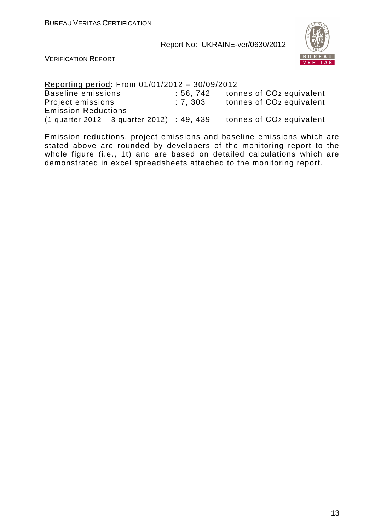

VERIFICATION REPORT

Reporting period: From 01/01/2012 – 30/09/2012 Baseline emissions : 56, 742 tonnes of CO<sub>2</sub> equivalent Project emissions : 7, 303 tonnes of CO<sub>2</sub> equivalent Emission Reductions (1 quarter 2012 – 3 quarter 2012) : 49, 439 tonnes of  $CO<sub>2</sub>$  equivalent

Emission reductions, project emissions and baseline emissions which are stated above are rounded by developers of the monitoring report to the whole figure (i.e., 1t) and are based on detailed calculations which are demonstrated in excel spreadsheets attached to the monitoring report.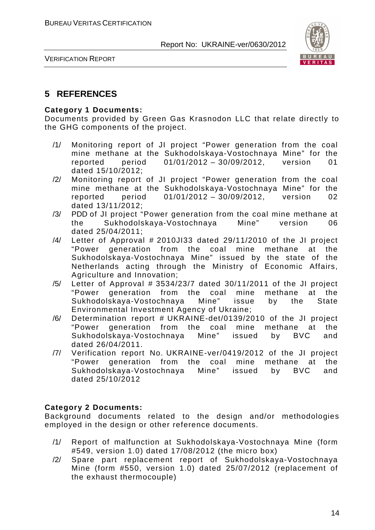

VERIFICATION REPORT

# **5 REFERENCES**

#### **Category 1 Documents:**

Documents provided by Green Gas Krasnodon LLC that relate directly to the GHG components of the project.

- /1/ Monitoring report of JI project "Power generation from the coal mine methane at the Sukhodolskaya-Vostochnaya Mine" for the reported period 01/01/2012 – 30/09/2012, version 01 dated 15/10/2012;
- /2/ Monitoring report of JI project "Power generation from the coal mine methane at the Sukhodolskaya-Vostochnaya Mine" for the reported period 01/01/2012 – 30/09/2012, version 02 dated 13/11/2012;
- /3/ PDD of JI project "Power generation from the coal mine methane at the Sukhodolskaya-Vostochnaya Mine" version 06 dated 25/04/2011;
- /4/ Letter of Approval # 2010JI33 dated 29/11/2010 of the JI project "Power generation from the coal mine methane at the Sukhodolskaya-Vostochnaya Mine" issued by the state of the Netherlands acting through the Ministry of Economic Affairs, Agriculture and Innovation;
- $/5/$  Letter of Approval # 3534/23/7 dated 30/11/2011 of the JI project "Power generation from the coal mine methane at the Sukhodolskaya-Vostochnaya Mine" issue by the State Environmental Investment Agency of Ukraine;
- /6/ Determination report # UKRAINE-det/0139/2010 of the JI project "Power generation from the coal mine methane at the Sukhodolskaya-Vostochnaya Mine" issued by BVC and dated 26/04/2011.
- /7/ Verification report No. UKRAINE-ver/0419/2012 of the JI project "Power generation from the coal mine methane at the Sukhodolskaya-Vostochnaya Mine" issued by BVC and dated 25/10/2012

#### **Category 2 Documents:**

Background documents related to the design and/or methodologies employed in the design or other reference documents.

- /1/ Report of malfunction at Sukhodolskaya-Vostochnaya Mine (form #549, version 1.0) dated 17/08/2012 (the micro box)
- /2/ Spare part replacement report of Sukhodolskaya-Vostochnaya Mine (form #550, version 1.0) dated 25/07/2012 (replacement of the exhaust thermocouple)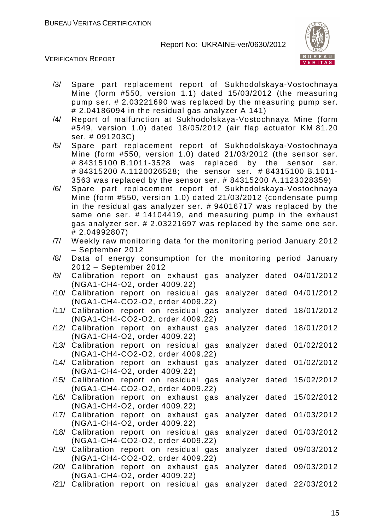

VERIFICATION REPORT

- /3/ Spare part replacement report of Sukhodolskaya-Vostochnaya Mine (form #550, version 1.1) dated 15/03/2012 (the measuring pump ser. # 2.03221690 was replaced by the measuring pump ser. # 2.04186094 in the residual gas analyzer A 141)
- /4/ Report of malfunction at Sukhodolskaya-Vostochnaya Mine (form #549, version 1.0) dated 18/05/2012 (air flap actuator KM 81.20 ser. # 091203C)
- /5/ Spare part replacement report of Sukhodolskaya-Vostochnaya Mine (form #550, version 1.0) dated 21/03/2012 (the sensor ser. # 84315100 B.1011-3528 was replaced by the sensor ser. # 84315200 A.1120026528; the sensor ser. # 84315100 B.1011- 3563 was replaced by the sensor ser. # 84315200 A.1123028359)
- /6/ Spare part replacement report of Sukhodolskaya-Vostochnaya Mine (form #550, version 1.0) dated 21/03/2012 (condensate pump in the residual gas analyzer ser. # 94016717 was replaced by the same one ser. # 14104419, and measuring pump in the exhaust gas analyzer ser. # 2.03221697 was replaced by the same one ser. # 2.04992807)
- /7/ Weekly raw monitoring data for the monitoring period January 2012 – September 2012
- /8/ Data of energy consumption for the monitoring period January 2012 – September 2012
- /9/ Calibration report on exhaust gas analyzer dated 04/01/2012 (NGA1-CH4-O2, order 4009.22)
- /10/ Calibration report on residual gas analyzer dated 04/01/2012 (NGA1-CH4-CO2-O2, order 4009.22)
- /11/ Calibration report on residual gas analyzer dated 18/01/2012 (NGA1-CH4-CO2-O2, order 4009.22)
- /12/ Calibration report on exhaust gas analyzer dated 18/01/2012 (NGA1-CH4-O2, order 4009.22) /13/ Calibration report on residual gas analyzer dated 01/02/2012 (NGA1-CH4-CO2-O2, order 4009.22)
- /14/ Calibration report on exhaust gas analyzer dated 01/02/2012 (NGA1-CH4-O2, order 4009.22)
- /15/ Calibration report on residual gas analyzer dated 15/02/2012 (NGA1-CH4-CO2-O2, order 4009.22)
- /16/ Calibration report on exhaust gas analyzer dated 15/02/2012 (NGA1-CH4-O2, order 4009.22)
- /17/ Calibration report on exhaust gas analyzer dated 01/03/2012 (NGA1-CH4-O2, order 4009.22)
- /18/ Calibration report on residual gas analyzer dated 01/03/2012 (NGA1-CH4-CO2-O2, order 4009.22)
- /19/ Calibration report on residual gas analyzer dated 09/03/2012 (NGA1-CH4-CO2-O2, order 4009.22)
- /20/ Calibration report on exhaust gas analyzer dated 09/03/2012 (NGA1-CH4-O2, order 4009.22)
- /21/ Calibration report on residual gas analyzer dated 22/03/2012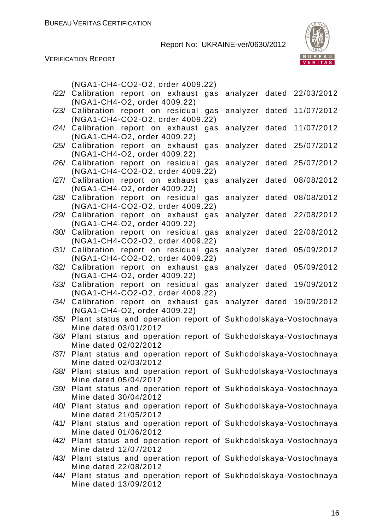

VERIFICATION REPORT

|      | (NGA1-CH4-CO2-O2, order 4009.22)                                                             |                              |
|------|----------------------------------------------------------------------------------------------|------------------------------|
|      | /22/ Calibration report on exhaust gas                                                       | analyzer dated 22/03/2012    |
|      | (NGA1-CH4-O2, order 4009.22)                                                                 |                              |
| /23/ | Calibration report on residual<br>gas                                                        | 11/07/2012<br>analyzer dated |
|      | (NGA1-CH4-CO2-O2, order 4009.22)                                                             |                              |
|      | /24/ Calibration report on exhaust<br>gas                                                    | analyzer dated 11/07/2012    |
|      | (NGA1-CH4-O2, order 4009.22)                                                                 |                              |
| /25/ | Calibration report on exhaust<br>gas                                                         | analyzer dated 25/07/2012    |
|      | (NGA1-CH4-O2, order 4009.22)                                                                 |                              |
| /26/ | Calibration report on residual<br>gas<br>(NGA1-CH4-CO2-O2, order 4009.22)                    | analyzer dated 25/07/2012    |
|      | /27/ Calibration report on exhaust<br>gas                                                    | analyzer dated 08/08/2012    |
|      | (NGA1-CH4-O2, order 4009.22)                                                                 |                              |
| /28/ | Calibration report on residual<br>gas                                                        | analyzer dated 08/08/2012    |
|      | (NGA1-CH4-CO2-O2, order 4009.22)                                                             |                              |
|      | /29/ Calibration report on exhaust gas                                                       | analyzer dated 22/08/2012    |
|      | (NGA1-CH4-O2, order 4009.22)                                                                 |                              |
|      | /30/ Calibration report on residual gas                                                      | analyzer dated 22/08/2012    |
|      | (NGA1-CH4-CO2-O2, order 4009.22)                                                             |                              |
| /31/ | Calibration report on residual<br>gas                                                        | analyzer dated 05/09/2012    |
|      | (NGA1-CH4-CO2-O2, order 4009.22)                                                             |                              |
|      | /32/ Calibration report on exhaust gas                                                       | analyzer dated 05/09/2012    |
|      | (NGA1-CH4-O2, order 4009.22)                                                                 |                              |
| /33/ | Calibration report on residual gas                                                           | analyzer dated<br>19/09/2012 |
|      | (NGA1-CH4-CO2-O2, order 4009.22)                                                             |                              |
| /34/ | Calibration report on exhaust gas                                                            | analyzer dated 19/09/2012    |
|      | (NGA1-CH4-O2, order 4009.22)                                                                 |                              |
|      | /35/ Plant status and operation report of Sukhodolskaya-Vostochnaya<br>Mine dated 03/01/2012 |                              |
| /36/ | Plant status and operation report of Sukhodolskaya-Vostochnaya                               |                              |
|      | Mine dated 02/02/2012                                                                        |                              |
| /37/ | Plant status and operation report of Sukhodolskaya-Vostochnaya                               |                              |
|      | Mine dated 02/03/2012                                                                        |                              |
| /38/ | Plant status and operation report of Sukhodolskaya-Vostochnaya                               |                              |
|      | Mine dated 05/04/2012                                                                        |                              |
|      | /39/ Plant status and operation report of Sukhodolskaya-Vostochnaya                          |                              |
|      | Mine dated 30/04/2012                                                                        |                              |
|      | /40/ Plant status and operation report of Sukhodolskaya-Vostochnaya                          |                              |
|      | Mine dated 21/05/2012                                                                        |                              |
|      | /41/ Plant status and operation report of Sukhodolskaya-Vostochnaya                          |                              |
|      | Mine dated 01/06/2012                                                                        |                              |
|      | /42/ Plant status and operation report of Sukhodolskaya-Vostochnaya                          |                              |
|      | Mine dated 12/07/2012                                                                        |                              |
|      | /43/ Plant status and operation report of Sukhodolskaya-Vostochnaya<br>Mine dated 22/08/2012 |                              |
|      | /44/ Plant status and operation report of Sukhodolskaya-Vostochnaya                          |                              |
|      | Mine dated 13/09/2012                                                                        |                              |
|      |                                                                                              |                              |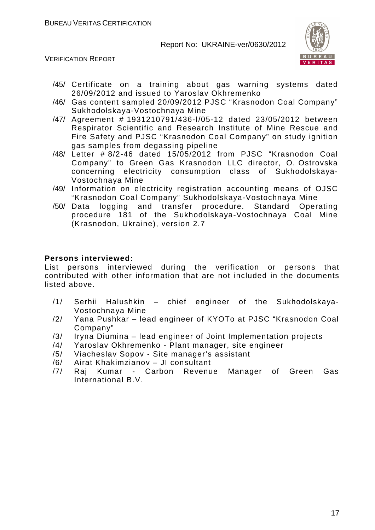

VERIFICATION REPORT

- /45/ Certificate on a training about gas warning systems dated 26/09/2012 and issued to Yaroslav Okhremenko
- /46/ Gas content sampled 20/09/2012 PJSC "Krasnodon Coal Company" Sukhodolskaya-Vostochnaya Mine
- /47/ Agreement # 1931210791/436-І/05-12 dated 23/05/2012 between Respirator Scientific and Research Institute of Mine Rescue and Fire Safety and PJSC "Krasnodon Coal Company" on study ignition gas samples from degassing pipeline
- /48/ Letter # 8/2-46 dated 15/05/2012 from PJSC "Krasnodon Coal Company" to Green Gas Krasnodon LLC director, O. Ostrovska concerning electricity consumption class of Sukhodolskaya-Vostochnaya Mine
- /49/ Information on electricity registration accounting means of OJSC "Krasnodon Coal Company" Sukhodolskaya-Vostochnaya Mine
- /50/ Data logging and transfer procedure. Standard Operating procedure 181 of the Sukhodolskaya-Vostochnaya Coal Mine (Krasnodon, Ukraine), version 2.7

#### **Persons interviewed:**

List persons interviewed during the verification or persons that contributed with other information that are not included in the documents listed above.

- /1/ Serhii Halushkin chief engineer of the Sukhodolskaya-Vostochnaya Mine
- /2/ Yana Pushkar lead engineer of KYOTo at PJSC "Krasnodon Coal Company"
- /3/ Iryna Diumina lead engineer of Joint Implementation projects
- /4/ Yaroslav Okhremenko Plant manager, site engineer
- /5/ Viacheslav Sopov Site manager's assistant
- /6/ Airat Khakimzianov JI consultant
- /7/ Raj Kumar Carbon Revenue Manager of Green Gas International B.V.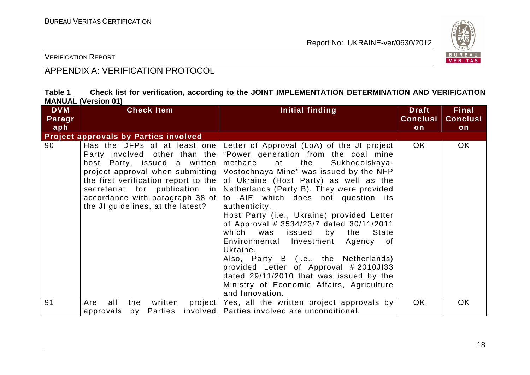

VERIFICATION REPORT

# APPENDIX A: VERIFICATION PROTOCOL

| Table 1 |                            |  |  | Check list for verification, according to the JOINT IMPLEMENTATION DETERMINATION AND VERIFICATION |  |
|---------|----------------------------|--|--|---------------------------------------------------------------------------------------------------|--|
|         | <b>MANUAL (Version 01)</b> |  |  |                                                                                                   |  |

| <b>DVM</b><br>Paragr | <b>Check Item</b>                                                                                                                                                                                                          | Initial finding                                                                                                                                                                                                                                                                                                                                                                                                                                                                                                                                                                                                                                                                                                                                                            | <b>Draft</b><br><b>Conclusi</b> | <b>Final</b><br><b>Conclusi</b> |
|----------------------|----------------------------------------------------------------------------------------------------------------------------------------------------------------------------------------------------------------------------|----------------------------------------------------------------------------------------------------------------------------------------------------------------------------------------------------------------------------------------------------------------------------------------------------------------------------------------------------------------------------------------------------------------------------------------------------------------------------------------------------------------------------------------------------------------------------------------------------------------------------------------------------------------------------------------------------------------------------------------------------------------------------|---------------------------------|---------------------------------|
| aph                  |                                                                                                                                                                                                                            |                                                                                                                                                                                                                                                                                                                                                                                                                                                                                                                                                                                                                                                                                                                                                                            | on                              | on                              |
|                      | <b>Project approvals by Parties involved</b>                                                                                                                                                                               |                                                                                                                                                                                                                                                                                                                                                                                                                                                                                                                                                                                                                                                                                                                                                                            |                                 |                                 |
| 90                   | Has the DFPs of at least one<br>Party involved, other than the<br>host Party, issued a written<br>the first verification report to the $ $<br>accordance with paragraph 38 of $\vert$<br>the JI guidelines, at the latest? | Letter of Approval (LoA) of the JI project<br>"Power generation from the coal mine<br>Sukhodolskaya-<br>methane at the<br>project approval when submitting   Vostochnaya Mine" was issued by the NFP<br>of Ukraine (Host Party) as well as the<br>secretariat for publication in Netherlands (Party B). They were provided<br>to AIE which does not question its<br>authenticity.<br>Host Party (i.e., Ukraine) provided Letter<br>of Approval # 3534/23/7 dated 30/11/2011<br>which was<br>issued<br>by the<br>State<br>Environmental Investment<br>Agency<br>0f<br>Ukraine.<br>Also, Party B (i.e., the Netherlands)<br>provided Letter of Approval #2010JI33<br>dated 29/11/2010 that was issued by the<br>Ministry of Economic Affairs, Agriculture<br>and Innovation. | OK.                             | OK.                             |
| 91                   | written<br>all<br>the<br>Are<br>Parties<br>approvals<br>by                                                                                                                                                                 | project   Yes, all the written project approvals by<br>involved   Parties involved are unconditional.                                                                                                                                                                                                                                                                                                                                                                                                                                                                                                                                                                                                                                                                      | OK                              | OK.                             |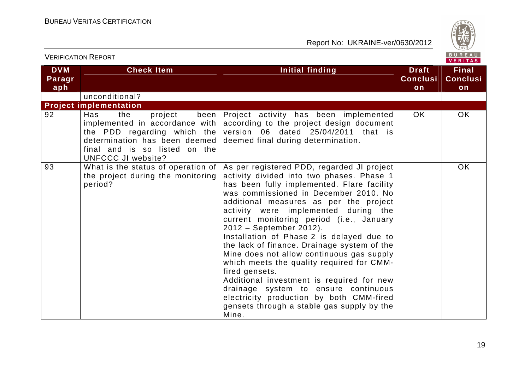

|                             | <b>VERIFICATION REPORT</b>                                                                                                                                                            |                                                                                                                                                                                                                                                                                                                                                                                                                                                                                                                                                                                                                                                                                                                                         |                                       | BUREAU<br><b>VERITAS</b>              |
|-----------------------------|---------------------------------------------------------------------------------------------------------------------------------------------------------------------------------------|-----------------------------------------------------------------------------------------------------------------------------------------------------------------------------------------------------------------------------------------------------------------------------------------------------------------------------------------------------------------------------------------------------------------------------------------------------------------------------------------------------------------------------------------------------------------------------------------------------------------------------------------------------------------------------------------------------------------------------------------|---------------------------------------|---------------------------------------|
| <b>DVM</b><br>Paragr<br>aph | <b>Check Item</b>                                                                                                                                                                     | Initial finding                                                                                                                                                                                                                                                                                                                                                                                                                                                                                                                                                                                                                                                                                                                         | <b>Draft</b><br><b>Conclusi</b><br>on | <b>Final</b><br><b>Conclusi</b><br>on |
|                             | unconditional?                                                                                                                                                                        |                                                                                                                                                                                                                                                                                                                                                                                                                                                                                                                                                                                                                                                                                                                                         |                                       |                                       |
|                             | <b>Project implementation</b>                                                                                                                                                         |                                                                                                                                                                                                                                                                                                                                                                                                                                                                                                                                                                                                                                                                                                                                         |                                       |                                       |
| 92                          | Has<br>the<br>project<br>implemented in accordance with<br>the PDD regarding which the<br>determination has been deemed<br>final and is so listed on the<br><b>UNFCCC JI website?</b> | been Project activity has been implemented<br>according to the project design document<br>version 06 dated 25/04/2011 that is<br>deemed final during determination.                                                                                                                                                                                                                                                                                                                                                                                                                                                                                                                                                                     | OK.                                   | OK.                                   |
| 93                          | What is the status of operation of<br>the project during the monitoring<br>period?                                                                                                    | As per registered PDD, regarded JI project<br>activity divided into two phases. Phase 1<br>has been fully implemented. Flare facility<br>was commissioned in December 2010. No<br>additional measures as per the project<br>activity were implemented during the<br>current monitoring period (i.e., January<br>2012 - September 2012).<br>Installation of Phase 2 is delayed due to<br>the lack of finance. Drainage system of the<br>Mine does not allow continuous gas supply<br>which meets the quality required for CMM-<br>fired gensets.<br>Additional investment is required for new<br>drainage system to ensure continuous<br>electricity production by both CMM-fired<br>gensets through a stable gas supply by the<br>Mine. |                                       | <b>OK</b>                             |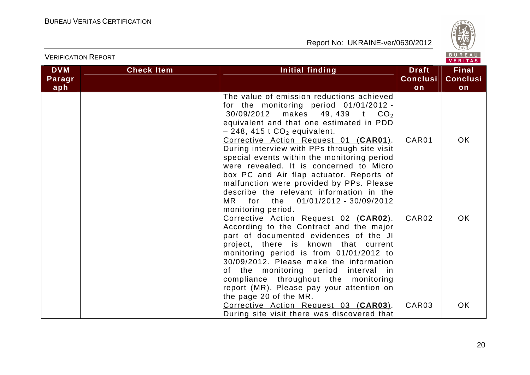VERIFICATION REPORT



| <b>DVM</b><br>Paragr<br>aph | <b>Check Item</b> | Initial finding                                                                                                                                                                                                                                                                                                                                                                                                                                                                                                                                                                 | <b>Draft</b><br><b>Conclusi</b><br>on | <b>Final</b><br><b>Conclusi</b><br>on |
|-----------------------------|-------------------|---------------------------------------------------------------------------------------------------------------------------------------------------------------------------------------------------------------------------------------------------------------------------------------------------------------------------------------------------------------------------------------------------------------------------------------------------------------------------------------------------------------------------------------------------------------------------------|---------------------------------------|---------------------------------------|
|                             |                   | The value of emission reductions achieved<br>for the monitoring period 01/01/2012 -<br>$30/09/2012$ makes 49, 439 t $CO2$<br>equivalent and that one estimated in PDD<br>$-248$ , 415 t $CO2$ equivalent.<br>Corrective Action Request 01 (CAR01).<br>During interview with PPs through site visit<br>special events within the monitoring period<br>were revealed. It is concerned to Micro<br>box PC and Air flap actuator. Reports of<br>malfunction were provided by PPs. Please<br>describe the relevant information in the<br>MR 11<br>for the<br>01/01/2012 - 30/09/2012 | CAR01                                 | <b>OK</b>                             |
|                             |                   | monitoring period.<br>Corrective Action Request 02 (CAR02).<br>According to the Contract and the major<br>part of documented evidences of the JI<br>project, there is known that current<br>monitoring period is from 01/01/2012 to<br>30/09/2012. Please make the information<br>of the monitoring period interval in<br>compliance throughout the monitoring<br>report (MR). Please pay your attention on<br>the page 20 of the MR.                                                                                                                                           | CAR <sub>02</sub>                     | OK.                                   |
|                             |                   | Corrective Action Request 03 (CAR03).<br>During site visit there was discovered that                                                                                                                                                                                                                                                                                                                                                                                                                                                                                            | CAR03                                 | OK.                                   |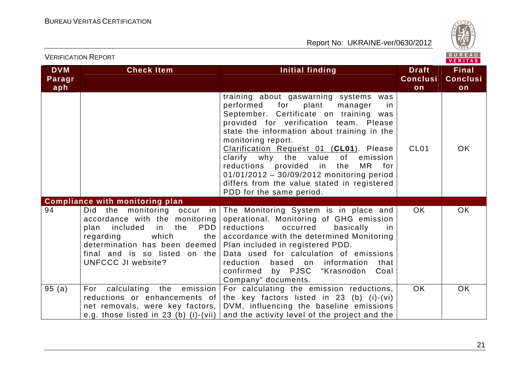

|                             | <b>VERIFICATION REPORT</b>                                                                                                                                                                                                                            |                                                                                                                                                                                                                                                                                                                                                                                                                                                                                                  |                                       | BUREAU<br><b>VERITAS</b>              |
|-----------------------------|-------------------------------------------------------------------------------------------------------------------------------------------------------------------------------------------------------------------------------------------------------|--------------------------------------------------------------------------------------------------------------------------------------------------------------------------------------------------------------------------------------------------------------------------------------------------------------------------------------------------------------------------------------------------------------------------------------------------------------------------------------------------|---------------------------------------|---------------------------------------|
| <b>DVM</b><br>Paragr<br>aph | <b>Check Item</b>                                                                                                                                                                                                                                     | Initial finding                                                                                                                                                                                                                                                                                                                                                                                                                                                                                  | <b>Draft</b><br><b>Conclusi</b><br>on | <b>Final</b><br><b>Conclusi</b><br>on |
|                             |                                                                                                                                                                                                                                                       | training about gaswarning systems was<br>performed for<br>plant<br>manager<br>in<br>September. Certificate on training was<br>provided for verification team. Please<br>state the information about training in the<br>monitoring report.<br>Clarification Request 01 (CL01). Please<br>clarify why the value of<br>emission<br>reductions provided in the<br>MR.<br>for<br>01/01/2012 - 30/09/2012 monitoring period<br>differs from the value stated in registered<br>PDD for the same period. | CL <sub>01</sub>                      | OK.                                   |
|                             | <b>Compliance with monitoring plan</b>                                                                                                                                                                                                                |                                                                                                                                                                                                                                                                                                                                                                                                                                                                                                  |                                       |                                       |
| 94                          | monitoring occur in<br>the<br>Did.<br>accordance with the monitoring<br>the<br>PDD  <br>plan<br>included<br>in timbra<br>which<br>regarding<br>the  <br>determination has been deemed  <br>final and is so listed on the<br><b>UNFCCC JI website?</b> | The Monitoring System is in place and<br>operational. Monitoring of GHG emission<br>occurred<br>reductions<br>basically<br>in<br>accordance with the determined Monitoring<br>Plan included in registered PDD.<br>Data used for calculation of emissions<br>reduction based on information<br>that<br>confirmed by PJSC "Krasnodon<br>Coal<br>Company" documents.                                                                                                                                | OK.                                   | OK.                                   |
| 95(a)                       | For<br>calculating<br>the<br>emission                                                                                                                                                                                                                 | For calculating the emission reductions,<br>reductions or enhancements of the key factors listed in 23 (b) (i)-(vi)<br>net removals, were key factors, DVM, influencing the baseline emissions<br>e.g. those listed in 23 (b) (i)-(vii) and the activity level of the project and the                                                                                                                                                                                                            | <b>OK</b>                             | <b>OK</b>                             |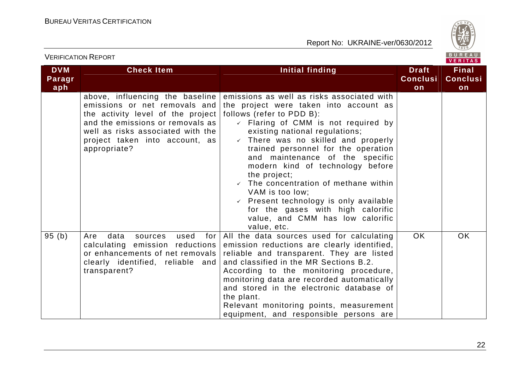

| <b>DVM</b><br>Paragr | <b>Check Item</b>                                                                                                                                                                                                                | <b>Initial finding</b>                                                                                                                                                                                                                                                                                                                                                                                                                                                                                                                                                                       | <b>Draft</b><br><b>Conclusi</b> | <b>Final</b><br><b>Conclusi</b> |
|----------------------|----------------------------------------------------------------------------------------------------------------------------------------------------------------------------------------------------------------------------------|----------------------------------------------------------------------------------------------------------------------------------------------------------------------------------------------------------------------------------------------------------------------------------------------------------------------------------------------------------------------------------------------------------------------------------------------------------------------------------------------------------------------------------------------------------------------------------------------|---------------------------------|---------------------------------|
| aph                  |                                                                                                                                                                                                                                  |                                                                                                                                                                                                                                                                                                                                                                                                                                                                                                                                                                                              | on                              | on                              |
|                      | above, influencing the baseline<br>emissions or net removals and<br>the activity level of the project<br>and the emissions or removals as<br>well as risks associated with the<br>project taken into account, as<br>appropriate? | emissions as well as risks associated with<br>the project were taken into account as<br>follows (refer to PDD B):<br>$\checkmark$ Flaring of CMM is not required by<br>existing national regulations;<br>$\checkmark$ There was no skilled and properly<br>trained personnel for the operation<br>and maintenance of the specific<br>modern kind of technology before<br>the project;<br>$\checkmark$ The concentration of methane within<br>VAM is too low;<br>Present technology is only available<br>for the gases with high calorific<br>value, and CMM has low calorific<br>value, etc. |                                 |                                 |
| 95(b)                | data<br>for<br>Are<br>used<br>sources<br>calculating emission reductions<br>or enhancements of net removals<br>clearly identified, reliable and<br>transparent?                                                                  | All the data sources used for calculating<br>emission reductions are clearly identified,<br>reliable and transparent. They are listed<br>and classified in the MR Sections B.2.<br>According to the monitoring procedure,<br>monitoring data are recorded automatically<br>and stored in the electronic database of<br>the plant.<br>Relevant monitoring points, measurement<br>equipment, and responsible persons are                                                                                                                                                                       | <b>OK</b>                       | <b>OK</b>                       |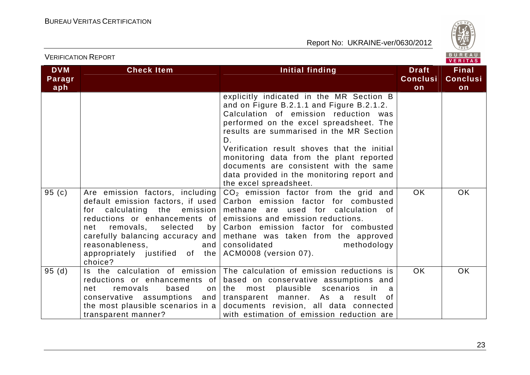

| <b>DVM</b><br>Paragr<br>aph | <b>Check Item</b>                                                                                                                                                                                                     | Initial finding                                                                                                                                                                                                                                                                                                                                                                                                                         | <b>Draft</b><br><b>Conclusi</b><br>on | <b>Final</b><br><b>Conclusi</b><br>on |
|-----------------------------|-----------------------------------------------------------------------------------------------------------------------------------------------------------------------------------------------------------------------|-----------------------------------------------------------------------------------------------------------------------------------------------------------------------------------------------------------------------------------------------------------------------------------------------------------------------------------------------------------------------------------------------------------------------------------------|---------------------------------------|---------------------------------------|
|                             |                                                                                                                                                                                                                       | explicitly indicated in the MR Section B<br>and on Figure B.2.1.1 and Figure B.2.1.2.<br>Calculation of emission reduction was<br>performed on the excel spreadsheet. The<br>results are summarised in the MR Section<br>D.<br>Verification result shoves that the initial<br>monitoring data from the plant reported<br>documents are consistent with the same<br>data provided in the monitoring report and<br>the excel spreadsheet. |                                       |                                       |
| 95(c)                       | Are emission factors, including<br>for calculating the emission<br>reductions or enhancements of<br>removals, selected<br>net<br>reasonableness,<br>appropriately justified of the $ACM0008$ (version 07).<br>choice? | $CO2$ emission factor from the grid and<br>default emission factors, if used   Carbon emission factor for combusted<br>methane are used for calculation of<br>emissions and emission reductions.<br>by   Carbon emission factor for combusted<br>carefully balancing accuracy and   methane was taken from the approved<br>and   consolidated<br>methodology                                                                            | <b>OK</b>                             | <b>OK</b>                             |
| 95(d)                       | removals<br>net<br>based<br>conservative assumptions<br>transparent manner?                                                                                                                                           | Is the calculation of emission The calculation of emission reductions is<br>reductions or enhancements of based on conservative assumptions and<br>most plausible scenarios<br>on   the<br>in.<br>a -<br>and transparent manner.<br>As a result of<br>the most plausible scenarios in a $\vert$ documents revision, all data connected<br>with estimation of emission reduction are                                                     | <b>OK</b>                             | <b>OK</b>                             |

VERIFICATION REPORT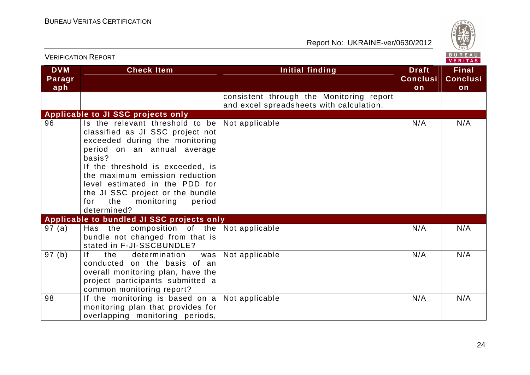

| <b>VERIFICATION REPORT</b>  |                                                                                                                                                                                                                                                                                                                                                 |                                                                                      |                                       | B U R E A U  <br><b>VERITAS</b>       |
|-----------------------------|-------------------------------------------------------------------------------------------------------------------------------------------------------------------------------------------------------------------------------------------------------------------------------------------------------------------------------------------------|--------------------------------------------------------------------------------------|---------------------------------------|---------------------------------------|
| <b>DVM</b><br>Paragr<br>aph | <b>Check Item</b>                                                                                                                                                                                                                                                                                                                               | <b>Initial finding</b>                                                               | <b>Draft</b><br><b>Conclusi</b><br>on | <b>Final</b><br><b>Conclusi</b><br>on |
|                             |                                                                                                                                                                                                                                                                                                                                                 | consistent through the Monitoring report<br>and excel spreadsheets with calculation. |                                       |                                       |
|                             | Applicable to JI SSC projects only                                                                                                                                                                                                                                                                                                              |                                                                                      |                                       |                                       |
| 96                          | Is the relevant threshold to be<br>classified as JI SSC project not<br>exceeded during the monitoring<br>period on an annual average<br>basis?<br>If the threshold is exceeded, is<br>the maximum emission reduction<br>level estimated in the PDD for<br>the JI SSC project or the bundle<br>the<br>monitoring<br>period<br>for<br>determined? | Not applicable                                                                       | N/A                                   | N/A                                   |
|                             | Applicable to bundled JI SSC projects only                                                                                                                                                                                                                                                                                                      |                                                                                      |                                       |                                       |
| 97(a)                       | Has the composition of the Not applicable<br>bundle not changed from that is<br>stated in F-JI-SSCBUNDLE?                                                                                                                                                                                                                                       |                                                                                      | N/A                                   | N/A                                   |
| 97(b)                       | f <br>determination<br>the<br>was<br>conducted on the basis of an<br>overall monitoring plan, have the<br>project participants submitted a<br>common monitoring report?                                                                                                                                                                         | Not applicable                                                                       | N/A                                   | N/A                                   |
| 98                          | If the monitoring is based on a Not applicable<br>monitoring plan that provides for<br>overlapping monitoring periods,                                                                                                                                                                                                                          |                                                                                      | N/A                                   | N/A                                   |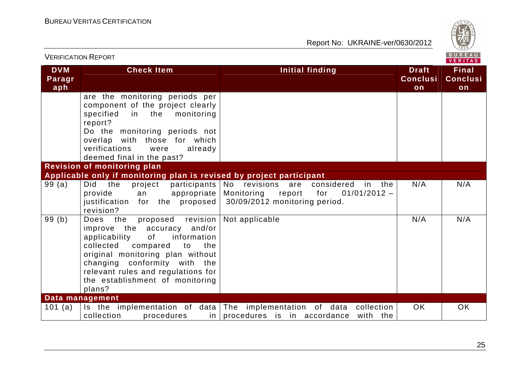

| <b>VERIFICATION REPORT</b>  |                                                                                                                                                                                                                                                                                                        |                                                                                                                         |                                       | BUREAU<br><b>VERITAS</b>              |
|-----------------------------|--------------------------------------------------------------------------------------------------------------------------------------------------------------------------------------------------------------------------------------------------------------------------------------------------------|-------------------------------------------------------------------------------------------------------------------------|---------------------------------------|---------------------------------------|
| <b>DVM</b><br>Paragr<br>aph | <b>Check Item</b>                                                                                                                                                                                                                                                                                      | <b>Initial finding</b>                                                                                                  | <b>Draft</b><br><b>Conclusi</b><br>on | <b>Final</b><br><b>Conclusi</b><br>on |
|                             | are the monitoring periods per<br>component of the project clearly<br>specified<br>in the monitoring<br>report?<br>Do the monitoring periods not<br>overlap with those for which<br>verifications<br>already<br>were<br>deemed final in the past?                                                      |                                                                                                                         |                                       |                                       |
|                             | <b>Revision of monitoring plan</b><br>Applicable only if monitoring plan is revised by project participant                                                                                                                                                                                             |                                                                                                                         |                                       |                                       |
| 99(a)                       | Did<br>participants  <br>project<br>the<br>provide<br>appropriate<br>an<br>justification for the proposed<br>revision?                                                                                                                                                                                 | No revisions are considered<br>in the<br>Monitoring<br>report<br>for<br>$01/01/2012 -$<br>30/09/2012 monitoring period. | N/A                                   | N/A                                   |
| 99(b)                       | Does the<br>proposed revision<br>improve the accuracy and/or<br>information<br><b>of</b><br>applicability<br>collected<br>compared<br>to<br>the<br>original monitoring plan without<br>changing conformity with the<br>relevant rules and regulations for<br>the establishment of monitoring<br>plans? | Not applicable                                                                                                          | N/A                                   | N/A                                   |
|                             | Data management                                                                                                                                                                                                                                                                                        |                                                                                                                         |                                       |                                       |
| 101 $(a)$                   | Is the implementation of data The implementation of data<br>collection<br>procedures                                                                                                                                                                                                                   | collection<br>$\frac{1}{2}$ in $\frac{1}{2}$ procedures is in accordance<br>with the                                    | OK.                                   | <b>OK</b>                             |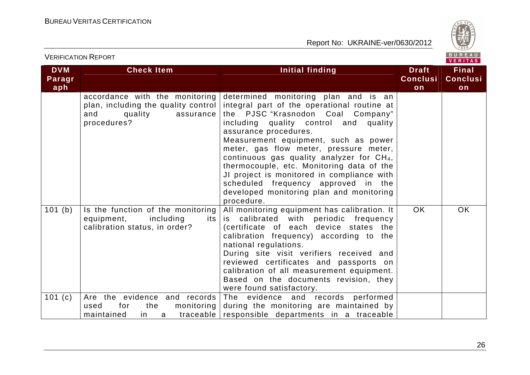

| <b>VERIFICATION REPORT</b>  |                                                                                                                     |                                                                                                                                                                                                                                                                                                                                                                                                                                                                                                                                   |                                       | BUREAU<br><b>VERITAS</b>              |
|-----------------------------|---------------------------------------------------------------------------------------------------------------------|-----------------------------------------------------------------------------------------------------------------------------------------------------------------------------------------------------------------------------------------------------------------------------------------------------------------------------------------------------------------------------------------------------------------------------------------------------------------------------------------------------------------------------------|---------------------------------------|---------------------------------------|
| <b>DVM</b><br>Paragr<br>aph | <b>Check Item</b>                                                                                                   | Initial finding                                                                                                                                                                                                                                                                                                                                                                                                                                                                                                                   | <b>Draft</b><br><b>Conclusi</b><br>on | <b>Final</b><br><b>Conclusi</b><br>on |
|                             | accordance with the monitoring<br>plan, including the quality control<br>quality<br>assurance<br>and<br>procedures? | determined monitoring plan and is an<br>integral part of the operational routine at<br>the PJSC "Krasnodon Coal Company"<br>including quality control and quality<br>assurance procedures.<br>Measurement equipment, such as power<br>meter, gas flow meter, pressure meter,<br>continuous gas quality analyzer for CH <sub>4</sub> ,<br>thermocouple, etc. Monitoring data of the<br>JI project is monitored in compliance with<br>scheduled frequency approved in the<br>developed monitoring plan and monitoring<br>procedure. |                                       |                                       |
| 101(b)                      | Is the function of the monitoring<br>equipment,<br>including<br>its  <br>calibration status, in order?              | All monitoring equipment has calibration. It<br>is calibrated with periodic frequency<br>(certificate of each device states the<br>calibration frequency) according to the<br>national regulations.<br>During site visit verifiers received and<br>reviewed certificates and passports on<br>calibration of all measurement equipment.<br>Based on the documents revision, they<br>were found satisfactory.                                                                                                                       | <b>OK</b>                             | OK                                    |
| 101(c)                      | Are the evidence and records<br>monitoring  <br>for<br>the<br>used<br>maintained<br>in.<br>a                        | The evidence and records performed<br>during the monitoring are maintained by<br>traceable responsible departments in a traceable                                                                                                                                                                                                                                                                                                                                                                                                 |                                       |                                       |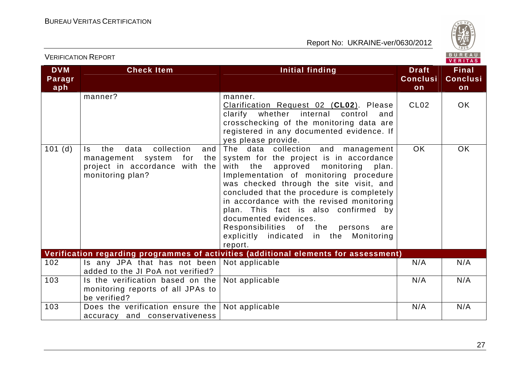accuracy and conservativeness

VERIFICATION REPORT

Report No: UKRAINE-ver/0630/2012



**Final** 

**on** 

VERITAS **DVM Check Item Initial finding Check Item Initial finding Theory Paragr Conclusi Conclusiaph on**manner? manner.  $C102$  OK Clarification Request 02 (**CL02**). Please clarify whether internal control and crosschecking of the monitoring data are registered in any documented evidence. If yes please provide. 101 (d)  $\vert$  Is the data collection OK OK The data collection and management management system for the system for the project is in accordance project in accordance with the with the approved monitoring plan. monitoring plan? Implementation of monitoring procedure was checked through the site visit, and concluded that the procedure is completely in accordance with the revised monitoring plan. This fact is also confirmed by documented evidences. Responsibilities of the persons are explicitly indicated in the Monitoring report. **Verification regarding programmes of activities (additional elements for assessment)** 102 | Is any JPA that has not been | Not applicable | N/A | N/A added to the JI PoA not verified? 103  $\vert$  Is the verification based on the  $\vert$  Not applicable  $\vert$  N/A  $\vert$  N/A  $\vert$  N/A monitoring reports of all JPAs to be verified? 103 | Does the verification ensure the | Not applicable | N/A | N/A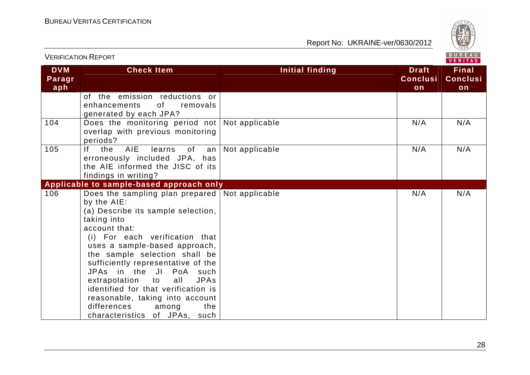

| <b>VERIFICATION REPORT</b>  |                                                                                                                                                                                                                                                                                                                                                                                                                                                                                  |                 |                                       | BUREAU<br>VERITAS                     |
|-----------------------------|----------------------------------------------------------------------------------------------------------------------------------------------------------------------------------------------------------------------------------------------------------------------------------------------------------------------------------------------------------------------------------------------------------------------------------------------------------------------------------|-----------------|---------------------------------------|---------------------------------------|
| <b>DVM</b><br>Paragr<br>aph | <b>Check Item</b>                                                                                                                                                                                                                                                                                                                                                                                                                                                                | Initial finding | <b>Draft</b><br><b>Conclusi</b><br>on | <b>Final</b><br><b>Conclusi</b><br>on |
|                             | of the emission reductions or<br>of the contract of the contract of the contract of the contract of the contract of the contract of the contract of the contract of the contract of the contract of the contract of the contract of the contract of the contrac<br>enhancements<br>removals<br>generated by each JPA?                                                                                                                                                            |                 |                                       |                                       |
| 104                         | Does the monitoring period not<br>overlap with previous monitoring<br>periods?                                                                                                                                                                                                                                                                                                                                                                                                   | Not applicable  | N/A                                   | N/A                                   |
| 105                         | AIE<br>If<br>the<br>learns<br>of<br>an<br>erroneously included JPA, has<br>the AIE informed the JISC of its<br>findings in writing?                                                                                                                                                                                                                                                                                                                                              | Not applicable  | N/A                                   | N/A                                   |
|                             | Applicable to sample-based approach only                                                                                                                                                                                                                                                                                                                                                                                                                                         |                 |                                       |                                       |
| 106                         | Does the sampling plan prepared<br>by the AIE:<br>(a) Describe its sample selection,<br>taking into<br>account that:<br>(i) For each verification that<br>uses a sample-based approach,<br>the sample selection shall be<br>sufficiently representative of the<br>JPAs in the JI PoA such<br>extrapolation to<br>all<br><b>JPAs</b><br>identified for that verification is<br>reasonable, taking into account<br>differences<br>among<br>the<br>characteristics of JPAs,<br>such | Not applicable  | N/A                                   | N/A                                   |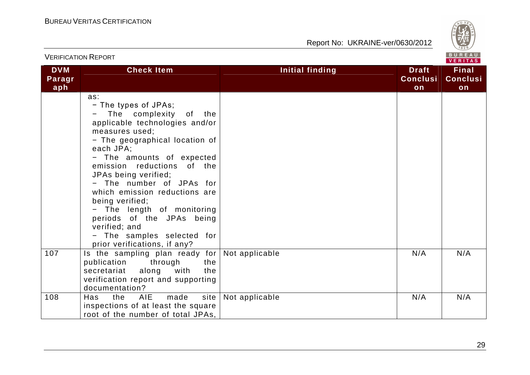

| <b>VERIFICATION REPORT</b>  |                                                                                                                                                                                                                                                                                                                                                                                                                                                                      |                        |                                       | BUREAU<br>VERITAS                     |
|-----------------------------|----------------------------------------------------------------------------------------------------------------------------------------------------------------------------------------------------------------------------------------------------------------------------------------------------------------------------------------------------------------------------------------------------------------------------------------------------------------------|------------------------|---------------------------------------|---------------------------------------|
| <b>DVM</b><br>Paragr<br>aph | <b>Check Item</b>                                                                                                                                                                                                                                                                                                                                                                                                                                                    | <b>Initial finding</b> | <b>Draft</b><br><b>Conclusi</b><br>on | <b>Final</b><br><b>Conclusi</b><br>on |
|                             | as:<br>- The types of JPAs;<br>The complexity of the<br>applicable technologies and/or<br>measures used;<br>- The geographical location of<br>each JPA;<br>- The amounts of expected<br>emission reductions of the<br>JPAs being verified;<br>- The number of JPAs for<br>which emission reductions are<br>being verified;<br>- The length of monitoring<br>periods of the JPAs being<br>verified; and<br>- The samples selected for<br>prior verifications, if any? |                        |                                       |                                       |
| 107                         | Is the sampling plan ready for Not applicable<br>publication<br>through<br>the<br>along with<br>secretariat<br>the<br>verification report and supporting<br>documentation?                                                                                                                                                                                                                                                                                           |                        | N/A                                   | N/A                                   |
| 108                         | the AIE<br>made<br>site  <br>Has<br>inspections of at least the square<br>root of the number of total JPAs,                                                                                                                                                                                                                                                                                                                                                          | Not applicable         | N/A                                   | N/A                                   |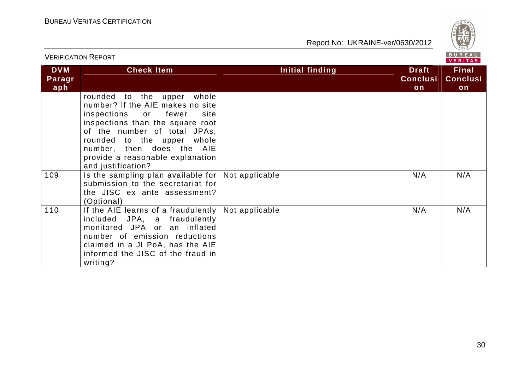

| ו יוט ושיו ויטה ושה וויום ע |                                                                                                                                                                                                                                                                                            | VERITAS         |                                       |                                       |  |
|-----------------------------|--------------------------------------------------------------------------------------------------------------------------------------------------------------------------------------------------------------------------------------------------------------------------------------------|-----------------|---------------------------------------|---------------------------------------|--|
| <b>DVM</b><br>Paragr<br>aph | <b>Check Item</b>                                                                                                                                                                                                                                                                          | Initial finding | <b>Draft</b><br><b>Conclusi</b><br>on | <b>Final</b><br><b>Conclusi</b><br>on |  |
| 109                         | rounded to the upper<br>whole<br>number? If the AIE makes no site<br>inspections or fewer<br>site<br>inspections than the square root<br>of the number of total JPAs,<br>rounded to the upper whole<br>number, then does the AIE<br>provide a reasonable explanation<br>and justification? |                 | N/A                                   | N/A                                   |  |
|                             | Is the sampling plan available for $ $<br>submission to the secretariat for<br>the JISC ex ante assessment?<br>(Optional)                                                                                                                                                                  | Not applicable  |                                       |                                       |  |
| 110                         | If the AIE learns of a fraudulently $ $<br>included JPA, a fraudulently<br>monitored JPA or an inflated<br>number of emission reductions<br>claimed in a JI PoA, has the AIE<br>informed the JISC of the fraud in<br>writing?                                                              | Not applicable  | N/A                                   | N/A                                   |  |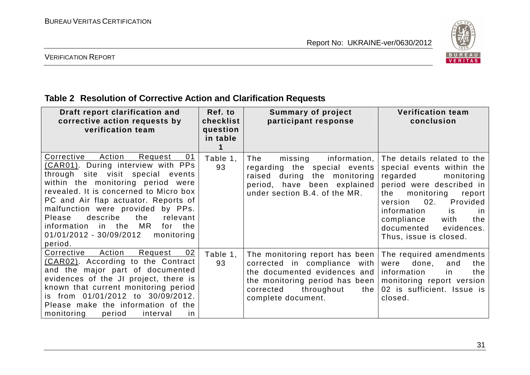

VERIFICATION REPORT

# **Table 2 Resolution of Corrective Action and Clarification Requests**

| Draft report clarification and<br>corrective action requests by<br>verification team                                                                                                                                                                                                                                                                                                                             | Ref. to<br>checklist<br>question<br>in table | <b>Summary of project</b><br>participant response                                                                                                                                        | <b>Verification team</b><br>conclusion                                                                                                                                                                                                                                                                        |
|------------------------------------------------------------------------------------------------------------------------------------------------------------------------------------------------------------------------------------------------------------------------------------------------------------------------------------------------------------------------------------------------------------------|----------------------------------------------|------------------------------------------------------------------------------------------------------------------------------------------------------------------------------------------|---------------------------------------------------------------------------------------------------------------------------------------------------------------------------------------------------------------------------------------------------------------------------------------------------------------|
| Corrective<br>Action<br>Request<br>01<br>(CAR01). During interview with PPs<br>through site visit special events<br>within the monitoring period were<br>revealed. It is concerned to Micro box<br>PC and Air flap actuator. Reports of<br>malfunction were provided by PPs.<br>describe<br>the<br>Please<br>relevant<br>MR<br>information in the<br>for the<br>01/01/2012 - 30/09/2012<br>monitoring<br>period. | Table 1,<br>93                               | The<br>information,<br>missing<br>regarding the special events<br>raised<br>during the monitoring<br>period, have been explained<br>under section B.4. of the MR.                        | The details related to the<br>special events within the<br>regarded<br>monitoring<br>period were described in<br>monitoring<br>the<br>report<br>02.<br>Provided<br>version<br>information<br>is<br>$\overline{\mathsf{I}}$<br>compliance<br>with<br>the<br>documented<br>evidences.<br>Thus, issue is closed. |
| Corrective<br>02<br>Action<br>Request<br>(CAR02). According to the Contract<br>and the major part of documented<br>evidences of the JI project, there is<br>known that current monitoring period<br>is from 01/01/2012 to 30/09/2012.<br>Please make the information of the<br>monitoring<br>period<br>interval<br>in                                                                                            | Table 1,<br>93                               | The monitoring report has been<br>corrected in compliance with<br>the documented evidences and<br>the monitoring period has been<br>corrected<br>throughout<br>the<br>complete document. | The required amendments<br>done,<br>were<br>and<br>the<br>information<br>the<br>in.<br>monitoring report version<br>02 is sufficient. Issue is<br>closed.                                                                                                                                                     |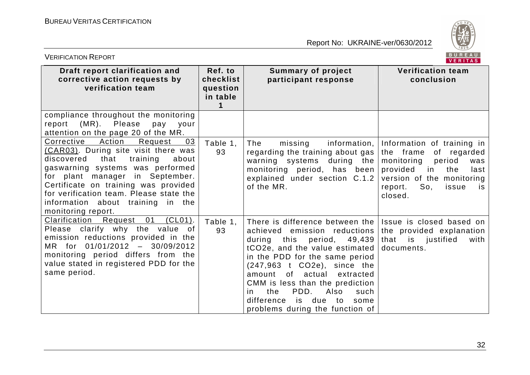

| BUREAU<br><b>VERIFICATION REPORT</b><br>VERITAS                                                                                                                                                                                                                                                                                            |                                              |                                                                                                                                                                                                                                                                                                                                                                                             |                                                                                                                                                                                                    |
|--------------------------------------------------------------------------------------------------------------------------------------------------------------------------------------------------------------------------------------------------------------------------------------------------------------------------------------------|----------------------------------------------|---------------------------------------------------------------------------------------------------------------------------------------------------------------------------------------------------------------------------------------------------------------------------------------------------------------------------------------------------------------------------------------------|----------------------------------------------------------------------------------------------------------------------------------------------------------------------------------------------------|
| Draft report clarification and<br>corrective action requests by<br>verification team                                                                                                                                                                                                                                                       | Ref. to<br>checklist<br>question<br>in table | <b>Summary of project</b><br>participant response                                                                                                                                                                                                                                                                                                                                           | <b>Verification team</b><br>conclusion                                                                                                                                                             |
| compliance throughout the monitoring<br>report (MR). Please<br>pay your<br>attention on the page 20 of the MR.                                                                                                                                                                                                                             |                                              |                                                                                                                                                                                                                                                                                                                                                                                             |                                                                                                                                                                                                    |
| Corrective<br>Action Request<br>03<br>(CAR03). During site visit there was<br>discovered<br>that<br>training<br>about<br>gaswarning systems was performed<br>for plant manager in September.<br>Certificate on training was provided<br>for verification team. Please state the<br>information about training in the<br>monitoring report. | Table 1,<br>93                               | information,<br>The<br>missing<br>regarding the training about gas<br>warning systems during the<br>monitoring period, has been<br>explained under section C.1.2<br>of the MR.                                                                                                                                                                                                              | Information of training in<br>the frame<br>of regarded<br>monitoring<br>period<br>was<br>provided<br>in in<br>the<br>last<br>version of the monitoring<br>So,<br>issue<br>report.<br>is<br>closed. |
| Clarification<br>Request 01<br>$(CL01)$ .<br>Please clarify why the value of<br>emission reductions provided in the<br>MR for 01/01/2012 - 30/09/2012<br>monitoring period differs from the<br>value stated in registered PDD for the<br>same period.                                                                                      | Table 1,<br>93                               | There is difference between the<br>achieved emission reductions<br>during this period, 49,439<br>tCO2e, and the value estimated<br>in the PDD for the same period<br>$(247,963$ t CO2e), since the<br>amount of actual<br>extracted<br>CMM is less than the prediction<br>PDD.<br>the<br>Also<br>such<br><i>in</i><br>difference<br>is due<br>to<br>some<br>problems during the function of | Issue is closed based on<br>the provided explanation<br>that is justified<br>with<br>documents.                                                                                                    |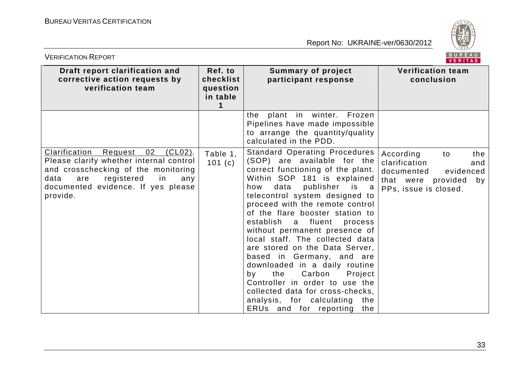

| BUREAU<br><b>VERIFICATION REPORT</b><br>VERITAS                                                                                                                                                                            |                                              |                                                                                                                                                                                                                                                                                                                                                                                                                                                                                                                                                                                                                                                                 |                                                                                                                                |
|----------------------------------------------------------------------------------------------------------------------------------------------------------------------------------------------------------------------------|----------------------------------------------|-----------------------------------------------------------------------------------------------------------------------------------------------------------------------------------------------------------------------------------------------------------------------------------------------------------------------------------------------------------------------------------------------------------------------------------------------------------------------------------------------------------------------------------------------------------------------------------------------------------------------------------------------------------------|--------------------------------------------------------------------------------------------------------------------------------|
| Draft report clarification and<br>corrective action requests by<br>verification team                                                                                                                                       | Ref. to<br>checklist<br>question<br>in table | <b>Summary of project</b><br>participant response                                                                                                                                                                                                                                                                                                                                                                                                                                                                                                                                                                                                               | <b>Verification team</b><br>conclusion                                                                                         |
|                                                                                                                                                                                                                            |                                              | plant in winter.<br>Frozen<br>the<br>Pipelines have made impossible<br>to arrange the quantity/quality<br>calculated in the PDD.                                                                                                                                                                                                                                                                                                                                                                                                                                                                                                                                |                                                                                                                                |
| Clarification<br>02<br>$(CL02)$ .<br>Request<br>Please clarify whether internal control<br>and crosschecking of the monitoring<br>registered<br>data<br>in<br>are<br>any<br>documented evidence. If yes please<br>provide. | Table 1,<br>101(c)                           | <b>Standard Operating Procedures</b><br>(SOP) are available for the<br>correct functioning of the plant.<br>Within SOP 181 is explained<br>data publisher is a<br>how<br>telecontrol system designed to<br>proceed with the remote control<br>of the flare booster station to<br>establish a fluent<br>process<br>without permanent presence of<br>local staff. The collected data<br>are stored on the Data Server,<br>based in Germany, and are<br>downloaded in a daily routine<br>the<br>Carbon<br>Project<br>by<br>Controller in order to use the<br>collected data for cross-checks,<br>analysis, for calculating<br>the<br>ERUs and for reporting<br>the | According<br>the<br>to<br>clarification<br>and<br>documented<br>evidenced<br>that were provided<br>by<br>PPs, issue is closed. |